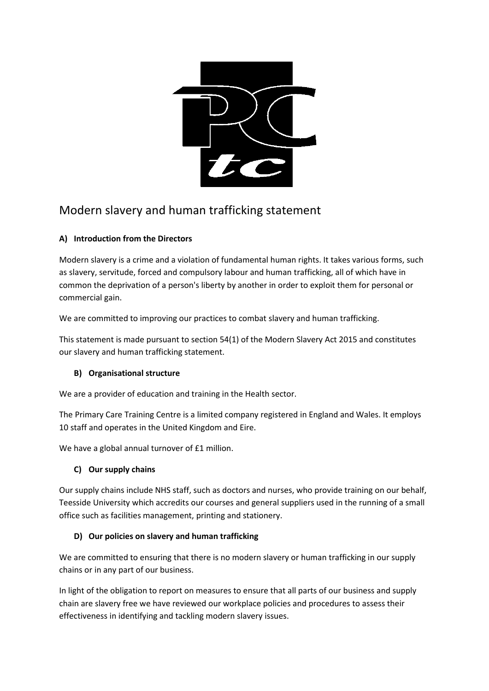

# Modern slavery and human trafficking statement

# **A) Introduction from the Directors**

Modern slavery is a crime and a violation of fundamental human rights. It takes various forms, such as slavery, servitude, forced and compulsory labour and human trafficking, all of which have in common the deprivation of a person's liberty by another in order to exploit them for personal or commercial gain.

We are committed to improving our practices to combat slavery and human trafficking.

This statement is made pursuant to section 54(1) of the Modern Slavery Act 2015 and constitutes our slavery and human trafficking statement.

## **B) Organisational structure**

We are a provider of education and training in the Health sector.

The Primary Care Training Centre is a limited company registered in England and Wales. It employs 10 staff and operates in the United Kingdom and Eire.

We have a global annual turnover of £1 million.

## **C) Our supply chains**

Our supply chains include NHS staff, such as doctors and nurses, who provide training on our behalf, Teesside University which accredits our courses and general suppliers used in the running of a small office such as facilities management, printing and stationery.

## **D) Our policies on slavery and human trafficking**

We are committed to ensuring that there is no modern slavery or human trafficking in our supply chains or in any part of our business.

In light of the obligation to report on measures to ensure that all parts of our business and supply chain are slavery free we have reviewed our workplace policies and procedures to assess their effectiveness in identifying and tackling modern slavery issues.